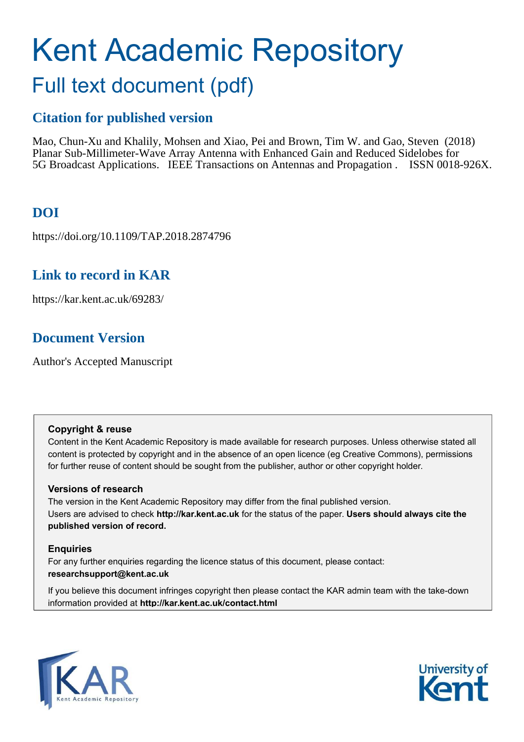# Kent Academic Repository Full text document (pdf)

## **Citation for published version**

Mao, Chun-Xu and Khalily, Mohsen and Xiao, Pei and Brown, Tim W. and Gao, Steven (2018) Planar Sub-Millimeter-Wave Array Antenna with Enhanced Gain and Reduced Sidelobes for 5G Broadcast Applications. IEEE Transactions on Antennas and Propagation . ISSN 0018-926X.

## **DOI**

https://doi.org/10.1109/TAP.2018.2874796

### **Link to record in KAR**

https://kar.kent.ac.uk/69283/

## **Document Version**

Author's Accepted Manuscript

#### **Copyright & reuse**

Content in the Kent Academic Repository is made available for research purposes. Unless otherwise stated all content is protected by copyright and in the absence of an open licence (eg Creative Commons), permissions for further reuse of content should be sought from the publisher, author or other copyright holder.

#### **Versions of research**

The version in the Kent Academic Repository may differ from the final published version. Users are advised to check **http://kar.kent.ac.uk** for the status of the paper. **Users should always cite the published version of record.**

#### **Enquiries**

For any further enquiries regarding the licence status of this document, please contact: **researchsupport@kent.ac.uk**

If you believe this document infringes copyright then please contact the KAR admin team with the take-down information provided at **http://kar.kent.ac.uk/contact.html**



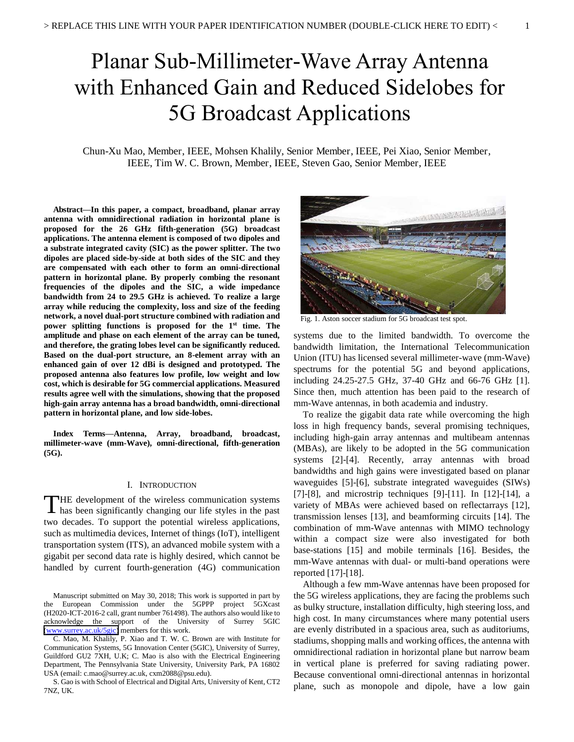## Planar Sub-Millimeter-Wave Array Antenna with Enhanced Gain and Reduced Sidelobes for 5G Broadcast Applications

Chun-Xu Mao, Member, IEEE, Mohsen Khalily, Senior Member, IEEE, Pei Xiao, Senior Member, IEEE, Tim W. C. Brown, Member, IEEE, Steven Gao, Senior Member, IEEE

**Abstract—In this paper, a compact, broadband, planar array antenna with omnidirectional radiation in horizontal plane is proposed for the 26 GHz fifth-generation (5G) broadcast applications. The antenna element is composed of two dipoles and a substrate integrated cavity (SIC) as the power splitter. The two dipoles are placed side-by-side at both sides of the SIC and they are compensated with each other to form an omni-directional pattern in horizontal plane. By properly combing the resonant frequencies of the dipoles and the SIC, a wide impedance bandwidth from 24 to 29.5 GHz is achieved. To realize a large array while reducing the complexity, loss and size of the feeding network, a novel dual-port structure combined with radiation and power splitting functions is proposed for the 1st time. The amplitude and phase on each element of the array can be tuned, and therefore, the grating lobes level can be significantly reduced. Based on the dual-port structure, an 8-element array with an enhanced gain of over 12 dBi is designed and prototyped. The proposed antenna also features low profile, low weight and low cost, which is desirable for 5G commercial applications. Measured results agree well with the simulations, showing that the proposed high-gain array antenna has a broad bandwidth, omni-directional pattern in horizontal plane, and low side-lobes.** 

**Index Terms—Antenna, Array, broadband, broadcast, millimeter-wave (mm-Wave), omni-directional, fifth-generation (5G).** 

#### I. INTRODUCTION

HE development of the wireless communication systems THE development of the wireless communication systems has been significantly changing our life styles in the past two decades. To support the potential wireless applications, such as multimedia devices, Internet of things (IoT), intelligent transportation system (ITS), an advanced mobile system with a gigabit per second data rate is highly desired, which cannot be handled by current fourth-generation (4G) communication

Manuscript submitted on May 30, 2018; This work is supported in part by the European Commission under the 5GPPP project 5GXcast (H2020-ICT-2016-2 call, grant number 761498). The authors also would like to acknowledge the support of the University of Surrey 5GIC [\(www.surrey.ac.uk/5gic\)](http://www.surrey.ac.uk/5gic) members for this work.

S. Gao is with School of Electrical and Digital Arts, University of Kent, CT2 7NZ, UK.



Fig. 1. Aston soccer stadium for 5G broadcast test spot.

systems due to the limited bandwidth. To overcome the bandwidth limitation, the International Telecommunication Union (ITU) has licensed several millimeter-wave (mm-Wave) spectrums for the potential 5G and beyond applications, including 24.25-27.5 GHz, 37-40 GHz and 66-76 GHz [1]. Since then, much attention has been paid to the research of mm-Wave antennas, in both academia and industry.

 To realize the gigabit data rate while overcoming the high loss in high frequency bands, several promising techniques, including high-gain array antennas and multibeam antennas (MBAs), are likely to be adopted in the 5G communication systems [2]-[4]. Recently, array antennas with broad bandwidths and high gains were investigated based on planar waveguides [5]-[6], substrate integrated waveguides (SIWs) [7]-[8], and microstrip techniques [9]-[11]. In [12]-[14], a variety of MBAs were achieved based on reflectarrays [12], transmission lenses [13], and beamforming circuits [14]. The combination of mm-Wave antennas with MIMO technology within a compact size were also investigated for both base-stations [15] and mobile terminals [16]. Besides, the mm-Wave antennas with dual- or multi-band operations were reported [17]-[18].

Although a few mm-Wave antennas have been proposed for the 5G wireless applications, they are facing the problems such as bulky structure, installation difficulty, high steering loss, and high cost. In many circumstances where many potential users are evenly distributed in a spacious area, such as auditoriums, stadiums, shopping malls and working offices, the antenna with omnidirectional radiation in horizontal plane but narrow beam in vertical plane is preferred for saving radiating power. Because conventional omni-directional antennas in horizontal plane, such as monopole and dipole, have a low gain

C. Mao, M. Khalily, P. Xiao and T. W. C. Brown are with Institute for Communication Systems, 5G Innovation Center (5GIC), University of Surrey, Guildford GU2 7XH, U.K; C. Mao is also with the Electrical Engineering Department, The Pennsylvania State University, University Park, PA 16802 USA (email: c.mao@surrey.ac.uk, cxm2088@psu.edu).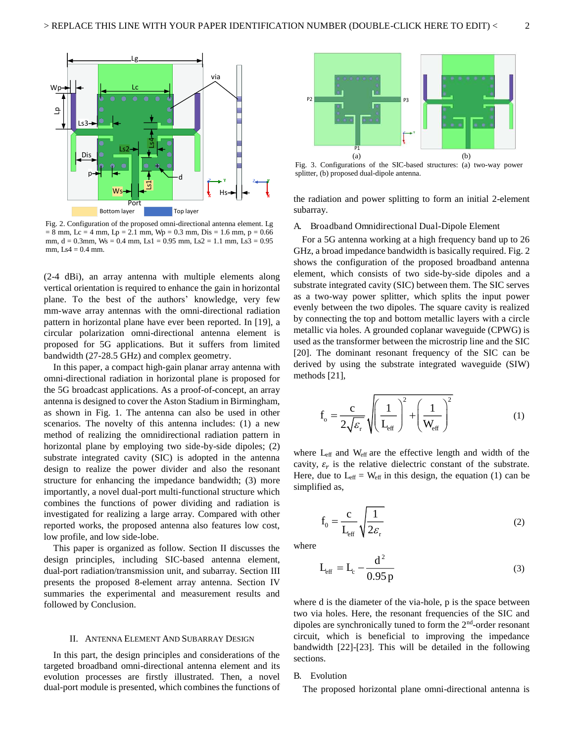

Fig. 2. Configuration of the proposed omni-directional antenna element. Lg  $= 8$  mm, Lc = 4 mm, Lp = 2.1 mm, Wp = 0.3 mm, Dis = 1.6 mm, p = 0.66 mm,  $d = 0.3$ mm, Ws = 0.4 mm, Ls1 = 0.95 mm, Ls2 = 1.1 mm, Ls3 = 0.95 mm,  $Ls4 = 0.4$  mm.

(2-4 dBi), an array antenna with multiple elements along vertical orientation is required to enhance the gain in horizontal plane. To the best of the authors' knowledge, very few mm-wave array antennas with the omni-directional radiation pattern in horizontal plane have ever been reported. In [19], a circular polarization omni-directional antenna element is proposed for 5G applications. But it suffers from limited bandwidth (27-28.5 GHz) and complex geometry.

 In this paper, a compact high-gain planar array antenna with omni-directional radiation in horizontal plane is proposed for the 5G broadcast applications. As a proof-of-concept, an array antenna is designed to cover the Aston Stadium in Birmingham, as shown in Fig. 1. The antenna can also be used in other scenarios. The novelty of this antenna includes: (1) a new method of realizing the omnidirectional radiation pattern in horizontal plane by employing two side-by-side dipoles; (2) substrate integrated cavity (SIC) is adopted in the antenna design to realize the power divider and also the resonant structure for enhancing the impedance bandwidth; (3) more importantly, a novel dual-port multi-functional structure which combines the functions of power dividing and radiation is investigated for realizing a large array. Compared with other reported works, the proposed antenna also features low cost, low profile, and low side-lobe.

This paper is organized as follow. Section II discusses the design principles, including SIC-based antenna element, dual-port radiation/transmission unit, and subarray. Section III presents the proposed 8-element array antenna. Section IV summaries the experimental and measurement results and followed by Conclusion.

#### II. ANTENNA ELEMENT AND SUBARRAY DESIGN

 In this part, the design principles and considerations of the targeted broadband omni-directional antenna element and its evolution processes are firstly illustrated. Then, a novel dual-port module is presented, which combines the functions of



Fig. 3. Configurations of the SIC-based structures: (a) two-way power splitter, (b) proposed dual-dipole antenna.

the radiation and power splitting to form an initial 2-element subarray.

#### A. Broadband Omnidirectional Dual-Dipole Element

For a 5G antenna working at a high frequency band up to 26 GHz, a broad impedance bandwidth is basically required. Fig. 2 shows the configuration of the proposed broadband antenna element, which consists of two side-by-side dipoles and a substrate integrated cavity (SIC) between them. The SIC serves as a two-way power splitter, which splits the input power evenly between the two dipoles. The square cavity is realized by connecting the top and bottom metallic layers with a circle metallic via holes. A grounded coplanar waveguide (CPWG) is used as the transformer between the microstrip line and the SIC [20]. The dominant resonant frequency of the SIC can be derived by using the substrate integrated waveguide (SIW) methods [21],

$$
f_o = \frac{c}{2\sqrt{\varepsilon_r}} \sqrt{\left(\frac{1}{L_{eff}}\right)^2 + \left(\frac{1}{W_{eff}}\right)^2}
$$
 (1)

where L<sub>eff</sub> and W<sub>eff</sub> are the effective length and width of the cavity,  $\varepsilon_r$  is the relative dielectric constant of the substrate. Here, due to  $L_{\text{eff}} = W_{\text{eff}}$  in this design, the equation (1) can be simplified as,

$$
f_0 = \frac{c}{L_{\text{eff}}} \sqrt{\frac{1}{2\varepsilon_r}}
$$
 (2)

where

$$
L_{\text{eff}} = L_{\text{c}} - \frac{d^2}{0.95 \,\text{p}}\tag{3}
$$

where d is the diameter of the via-hole, p is the space between two via holes. Here, the resonant frequencies of the SIC and dipoles are synchronically tuned to form the 2nd-order resonant circuit, which is beneficial to improving the impedance bandwidth [22]-[23]. This will be detailed in the following sections.

#### B. Evolution

The proposed horizontal plane omni-directional antenna is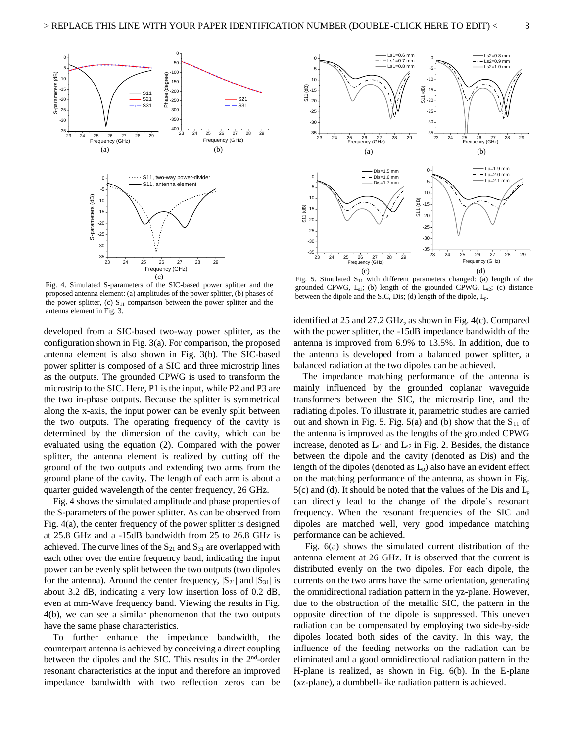

Fig. 4. Simulated S-parameters of the SIC-based power splitter and the proposed antenna element: (a) amplitudes of the power splitter, (b) phases of the power splitter, (c)  $S_{11}$  comparison between the power splitter and the antenna element in Fig. 3.

developed from a SIC-based two-way power splitter, as the configuration shown in Fig. 3(a). For comparison, the proposed antenna element is also shown in Fig. 3(b). The SIC-based power splitter is composed of a SIC and three microstrip lines as the outputs. The grounded CPWG is used to transform the microstrip to the SIC. Here, P1 is the input, while P2 and P3 are the two in-phase outputs. Because the splitter is symmetrical along the x-axis, the input power can be evenly split between the two outputs. The operating frequency of the cavity is determined by the dimension of the cavity, which can be evaluated using the equation (2). Compared with the power splitter, the antenna element is realized by cutting off the ground of the two outputs and extending two arms from the ground plane of the cavity. The length of each arm is about a quarter guided wavelength of the center frequency, 26 GHz.

Fig. 4 shows the simulated amplitude and phase properties of the S-parameters of the power splitter. As can be observed from Fig. 4(a), the center frequency of the power splitter is designed at 25.8 GHz and a -15dB bandwidth from 25 to 26.8 GHz is achieved. The curve lines of the  $S_{21}$  and  $S_{31}$  are overlapped with each other over the entire frequency band, indicating the input power can be evenly split between the two outputs (two dipoles for the antenna). Around the center frequency,  $|S_{21}|$  and  $|S_{31}|$  is about 3.2 dB, indicating a very low insertion loss of 0.2 dB, even at mm-Wave frequency band. Viewing the results in Fig. 4(b), we can see a similar phenomenon that the two outputs have the same phase characteristics.

To further enhance the impedance bandwidth, the counterpart antenna is achieved by conceiving a direct coupling between the dipoles and the SIC. This results in the  $2<sup>nd</sup>$ -order resonant characteristics at the input and therefore an improved impedance bandwidth with two reflection zeros can be



Fig. 5. Simulated  $S<sub>11</sub>$  with different parameters changed: (a) length of the grounded CPWG,  $L_{s1}$ ; (b) length of the grounded CPWG,  $L_{s2}$ ; (c) distance between the dipole and the SIC, Dis; (d) length of the dipole, Lp.

identified at 25 and 27.2 GHz, as shown in Fig. 4(c). Compared with the power splitter, the -15dB impedance bandwidth of the antenna is improved from 6.9% to 13.5%. In addition, due to the antenna is developed from a balanced power splitter, a balanced radiation at the two dipoles can be achieved.

The impedance matching performance of the antenna is mainly influenced by the grounded coplanar waveguide transformers between the SIC, the microstrip line, and the radiating dipoles. To illustrate it, parametric studies are carried out and shown in Fig. 5. Fig.  $5(a)$  and (b) show that the  $S_{11}$  of the antenna is improved as the lengths of the grounded CPWG increase, denoted as  $L_{s1}$  and  $L_{s2}$  in Fig. 2. Besides, the distance between the dipole and the cavity (denoted as Dis) and the length of the dipoles (denoted as  $L_p$ ) also have an evident effect on the matching performance of the antenna, as shown in Fig. 5(c) and (d). It should be noted that the values of the Dis and  $L_p$ can directly lead to the change of the dipole's resonant frequency. When the resonant frequencies of the SIC and dipoles are matched well, very good impedance matching performance can be achieved.

 Fig. 6(a) shows the simulated current distribution of the antenna element at 26 GHz. It is observed that the current is distributed evenly on the two dipoles. For each dipole, the currents on the two arms have the same orientation, generating the omnidirectional radiation pattern in the yz-plane. However, due to the obstruction of the metallic SIC, the pattern in the opposite direction of the dipole is suppressed. This uneven radiation can be compensated by employing two side-by-side dipoles located both sides of the cavity. In this way, the influence of the feeding networks on the radiation can be eliminated and a good omnidirectional radiation pattern in the H-plane is realized, as shown in Fig. 6(b). In the E-plane (xz-plane), a dumbbell-like radiation pattern is achieved.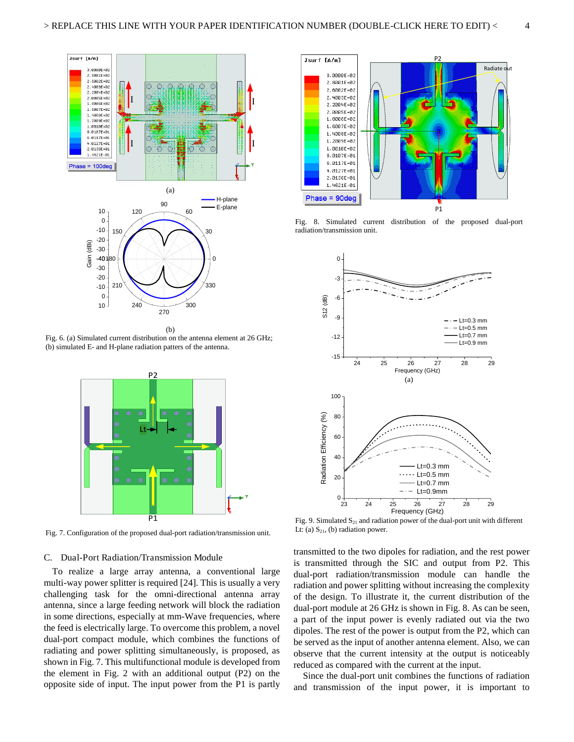

Fig. 6. (a) Simulated current distribution on the antenna element at 26 GHz; (b) simulated E- and H-plane radiation patters of the antenna.



Fig. 7. Configuration of the proposed dual-port radiation/transmission unit.

#### C. Dual-Port Radiation/Transmission Module

To realize a large array antenna, a conventional large multi-way power splitter is required [24]. This is usually a very challenging task for the omni-directional antenna array antenna, since a large feeding network will block the radiation in some directions, especially at mm-Wave frequencies, where the feed is electrically large. To overcome this problem, a novel dual-port compact module, which combines the functions of radiating and power splitting simultaneously, is proposed, as shown in Fig. 7. This multifunctional module is developed from the element in Fig. 2 with an additional output (P2) on the opposite side of input. The input power from the P1 is partly



Fig. 8. Simulated current distribution of the proposed dual-port radiation/transmission unit.



Fig. 9. Simulated  $S_{21}$  and radiation power of the dual-port unit with different Lt: (a)  $S_{21}$ , (b) radiation power.

transmitted to the two dipoles for radiation, and the rest power is transmitted through the SIC and output from P2. This dual-port radiation/transmission module can handle the radiation and power splitting without increasing the complexity of the design. To illustrate it, the current distribution of the dual-port module at 26 GHz is shown in Fig. 8. As can be seen, a part of the input power is evenly radiated out via the two dipoles. The rest of the power is output from the P2, which can be served as the input of another antenna element. Also, we can observe that the current intensity at the output is noticeably reduced as compared with the current at the input.

 Since the dual-port unit combines the functions of radiation and transmission of the input power, it is important to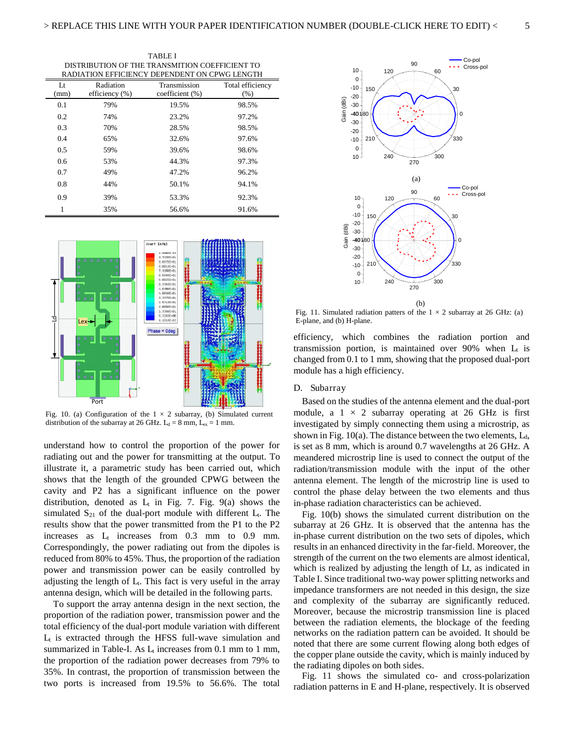TABLE I DISTRIBUTION OF THE TRANSMITION COEFFICIENT TO RADIATION EFFICIENCY DEPENDENT ON CPWG LENGTH

| Lt<br>(mm)    | Radiation<br>efficiency $(\%)$ | Transmission<br>coefficient (%) | Total efficiency<br>(% ) |
|---------------|--------------------------------|---------------------------------|--------------------------|
| 0.1           | 79%                            | 19.5%                           | 98.5%                    |
| 0.2           | 74%                            | 23.2%                           | 97.2%                    |
| 0.3           | 70%                            | 28.5%                           | 98.5%                    |
| 0.4           | 65%                            | 32.6%                           | 97.6%                    |
| 0.5           | 59%                            | 39.6%                           | 98.6%                    |
| $0.6^{\circ}$ | 53%                            | 44.3%                           | 97.3%                    |
| 0.7           | 49%                            | 47.2%                           | 96.2%                    |
| 0.8           | 44%                            | 50.1%                           | 94.1%                    |
| 0.9           | 39%                            | 53.3%                           | 92.3%                    |
| 1             | 35%                            | 56.6%                           | 91.6%                    |



Fig. 10. (a) Configuration of the  $1 \times 2$  subarray, (b) Simulated current distribution of the subarray at 26 GHz.  $L_d = 8$  mm,  $L_{ex} = 1$  mm.

understand how to control the proportion of the power for radiating out and the power for transmitting at the output. To illustrate it, a parametric study has been carried out, which shows that the length of the grounded CPWG between the cavity and P2 has a significant influence on the power distribution, denoted as  $L_t$  in Fig. 7. Fig. 9(a) shows the simulated  $S_{21}$  of the dual-port module with different  $L_t$ . The results show that the power transmitted from the P1 to the P2 increases as  $L_t$  increases from 0.3 mm to 0.9 mm. Correspondingly, the power radiating out from the dipoles is reduced from 80% to 45%. Thus, the proportion of the radiation power and transmission power can be easily controlled by adjusting the length of  $L_t$ . This fact is very useful in the array antenna design, which will be detailed in the following parts.

To support the array antenna design in the next section, the proportion of the radiation power, transmission power and the total efficiency of the dual-port module variation with different  $L<sub>t</sub>$  is extracted through the HFSS full-wave simulation and summarized in Table-I. As  $L_t$  increases from 0.1 mm to 1 mm, the proportion of the radiation power decreases from 79% to 35%. In contrast, the proportion of transmission between the two ports is increased from 19.5% to 56.6%. The total



Fig. 11. Simulated radiation patters of the  $1 \times 2$  subarray at 26 GHz: (a) E-plane, and (b) H-plane.

efficiency, which combines the radiation portion and transmission portion, is maintained over 90% when  $L_t$  is changed from 0.1 to 1 mm, showing that the proposed dual-port module has a high efficiency.

#### D. Subarray

Based on the studies of the antenna element and the dual-port module, a  $1 \times 2$  subarray operating at 26 GHz is first investigated by simply connecting them using a microstrip, as shown in Fig.  $10(a)$ . The distance between the two elements,  $L_d$ , is set as 8 mm, which is around 0.7 wavelengths at 26 GHz. A meandered microstrip line is used to connect the output of the radiation/transmission module with the input of the other antenna element. The length of the microstrip line is used to control the phase delay between the two elements and thus in-phase radiation characteristics can be achieved.

Fig. 10(b) shows the simulated current distribution on the subarray at 26 GHz. It is observed that the antenna has the in-phase current distribution on the two sets of dipoles, which results in an enhanced directivity in the far-field. Moreover, the strength of the current on the two elements are almost identical, which is realized by adjusting the length of Lt, as indicated in Table I. Since traditional two-way power splitting networks and impedance transformers are not needed in this design, the size and complexity of the subarray are significantly reduced. Moreover, because the microstrip transmission line is placed between the radiation elements, the blockage of the feeding networks on the radiation pattern can be avoided. It should be noted that there are some current flowing along both edges of the copper plane outside the cavity, which is mainly induced by the radiating dipoles on both sides.

Fig. 11 shows the simulated co- and cross-polarization radiation patterns in E and H-plane, respectively. It is observed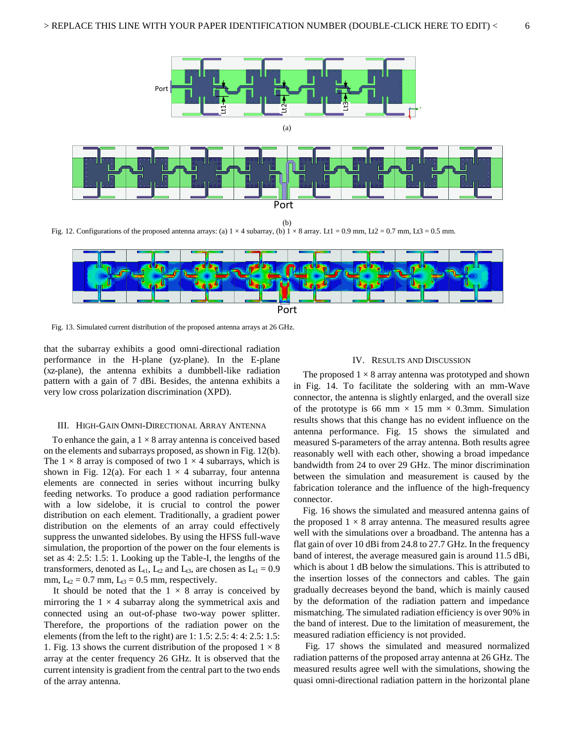

(b)

Fig. 12. Configurations of the proposed antenna arrays: (a)  $1 \times 4$  subarray, (b)  $1 \times 8$  array. Lt1 = 0.9 mm, Lt2 = 0.7 mm, Lt3 = 0.5 mm.



Fig. 13. Simulated current distribution of the proposed antenna arrays at 26 GHz.

that the subarray exhibits a good omni-directional radiation performance in the H-plane (yz-plane). In the E-plane (xz-plane), the antenna exhibits a dumbbell-like radiation pattern with a gain of 7 dBi. Besides, the antenna exhibits a very low cross polarization discrimination (XPD).

#### III. HIGH-GAIN OMNI-DIRECTIONAL ARRAY ANTENNA

To enhance the gain, a  $1 \times 8$  array antenna is conceived based on the elements and subarrays proposed, as shown in Fig. 12(b). The  $1 \times 8$  array is composed of two  $1 \times 4$  subarrays, which is shown in Fig. 12(a). For each  $1 \times 4$  subarray, four antenna elements are connected in series without incurring bulky feeding networks. To produce a good radiation performance with a low sidelobe, it is crucial to control the power distribution on each element. Traditionally, a gradient power distribution on the elements of an array could effectively suppress the unwanted sidelobes. By using the HFSS full-wave simulation, the proportion of the power on the four elements is set as 4: 2.5: 1.5: 1. Looking up the Table-I, the lengths of the transformers, denoted as  $L_{t1}$ ,  $L_{t2}$  and  $L_{t3}$ , are chosen as  $L_{t1} = 0.9$ mm,  $L_{t2} = 0.7$  mm,  $L_{t3} = 0.5$  mm, respectively.

It should be noted that the  $1 \times 8$  array is conceived by mirroring the  $1 \times 4$  subarray along the symmetrical axis and connected using an out-of-phase two-way power splitter. Therefore, the proportions of the radiation power on the elements (from the left to the right) are 1: 1.5: 2.5: 4: 4: 2.5: 1.5: 1. Fig. 13 shows the current distribution of the proposed  $1 \times 8$ array at the center frequency 26 GHz. It is observed that the current intensity is gradient from the central part to the two ends of the array antenna.

#### IV. RESULTS AND DISCUSSION

The proposed  $1 \times 8$  array antenna was prototyped and shown in Fig. 14. To facilitate the soldering with an mm-Wave connector, the antenna is slightly enlarged, and the overall size of the prototype is 66 mm  $\times$  15 mm  $\times$  0.3mm. Simulation results shows that this change has no evident influence on the antenna performance. Fig. 15 shows the simulated and measured S-parameters of the array antenna. Both results agree reasonably well with each other, showing a broad impedance bandwidth from 24 to over 29 GHz. The minor discrimination between the simulation and measurement is caused by the fabrication tolerance and the influence of the high-frequency connector.

Fig. 16 shows the simulated and measured antenna gains of the proposed  $1 \times 8$  array antenna. The measured results agree well with the simulations over a broadband. The antenna has a flat gain of over 10 dBi from 24.8 to 27.7 GHz. In the frequency band of interest, the average measured gain is around 11.5 dBi, which is about 1 dB below the simulations. This is attributed to the insertion losses of the connectors and cables. The gain gradually decreases beyond the band, which is mainly caused by the deformation of the radiation pattern and impedance mismatching. The simulated radiation efficiency is over 90% in the band of interest. Due to the limitation of measurement, the measured radiation efficiency is not provided.

 Fig. 17 shows the simulated and measured normalized radiation patterns of the proposed array antenna at 26 GHz. The measured results agree well with the simulations, showing the quasi omni-directional radiation pattern in the horizontal plane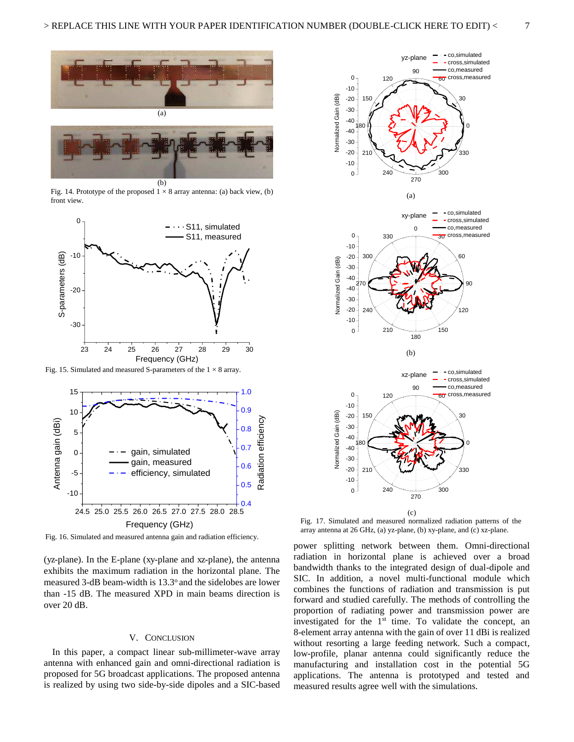

Fig. 14. Prototype of the proposed  $1 \times 8$  array antenna: (a) back view, (b) front view.



Fig. 15. Simulated and measured S-parameters of the  $1 \times 8$  array.



Fig. 16. Simulated and measured antenna gain and radiation efficiency.

(yz-plane). In the E-plane (xy-plane and xz-plane), the antenna exhibits the maximum radiation in the horizontal plane. The measured 3-dB beam-width is 13.3° and the sidelobes are lower than -15 dB. The measured XPD in main beams direction is over 20 dB.

#### V. CONCLUSION

In this paper, a compact linear sub-millimeter-wave array antenna with enhanced gain and omni-directional radiation is proposed for 5G broadcast applications. The proposed antenna is realized by using two side-by-side dipoles and a SIC-based



Fig. 17. Simulated and measured normalized radiation patterns of the array antenna at 26 GHz, (a) yz-plane, (b) xy-plane, and (c) xz-plane.

power splitting network between them. Omni-directional radiation in horizontal plane is achieved over a broad bandwidth thanks to the integrated design of dual-dipole and SIC. In addition, a novel multi-functional module which combines the functions of radiation and transmission is put forward and studied carefully. The methods of controlling the proportion of radiating power and transmission power are investigated for the  $1<sup>st</sup>$  time. To validate the concept, an 8-element array antenna with the gain of over 11 dBi is realized without resorting a large feeding network. Such a compact, low-profile, planar antenna could significantly reduce the manufacturing and installation cost in the potential 5G applications. The antenna is prototyped and tested and measured results agree well with the simulations.